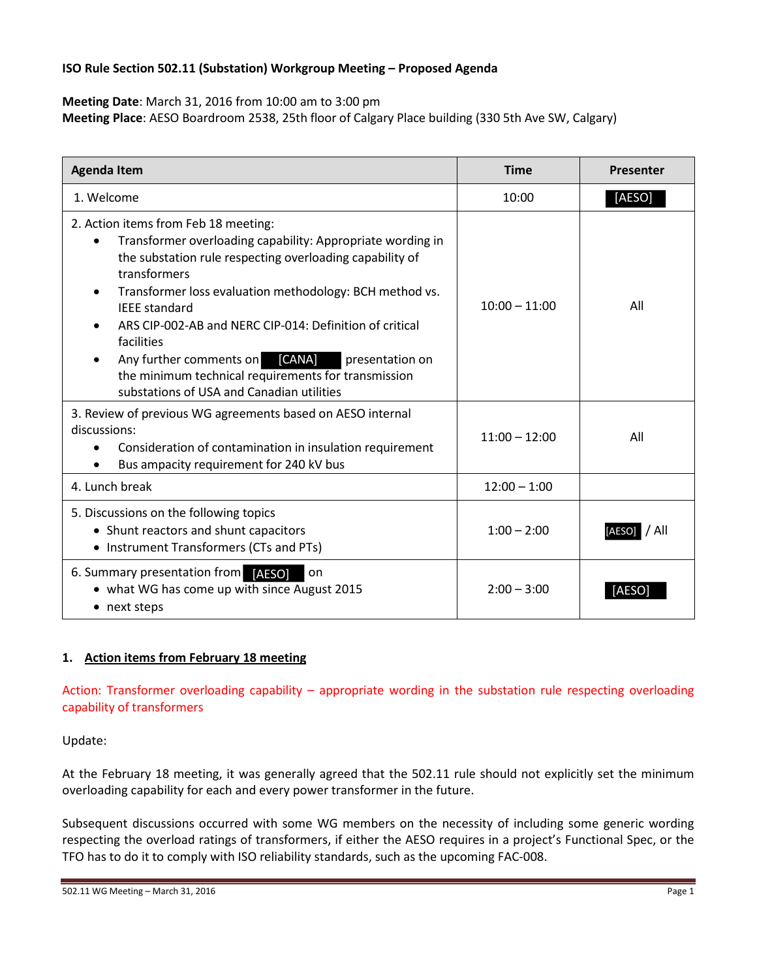### **ISO Rule Section 502.11 (Substation) Workgroup Meeting – Proposed Agenda**

**Meeting Date**: March 31, 2016 from 10:00 am to 3:00 pm

**Meeting Place**: AESO Boardroom 2538, 25th floor of Calgary Place building (330 5th Ave SW, Calgary)

| <b>Agenda Item</b>                                                                                                                                                                                                                                                                                                                                                                                                                                                                                               | <b>Time</b>     | Presenter       |
|------------------------------------------------------------------------------------------------------------------------------------------------------------------------------------------------------------------------------------------------------------------------------------------------------------------------------------------------------------------------------------------------------------------------------------------------------------------------------------------------------------------|-----------------|-----------------|
| 1. Welcome                                                                                                                                                                                                                                                                                                                                                                                                                                                                                                       | 10:00           | [AESO]          |
| 2. Action items from Feb 18 meeting:<br>Transformer overloading capability: Appropriate wording in<br>$\bullet$<br>the substation rule respecting overloading capability of<br>transformers<br>Transformer loss evaluation methodology: BCH method vs.<br><b>IFFF</b> standard<br>ARS CIP-002-AB and NERC CIP-014: Definition of critical<br>facilities<br>Any further comments on [CANA]<br>presentation on<br>the minimum technical requirements for transmission<br>substations of USA and Canadian utilities | $10:00 - 11:00$ | All             |
| 3. Review of previous WG agreements based on AESO internal<br>discussions:<br>Consideration of contamination in insulation requirement<br>$\bullet$<br>Bus ampacity requirement for 240 kV bus                                                                                                                                                                                                                                                                                                                   | $11:00 - 12:00$ | All             |
| 4. Lunch break                                                                                                                                                                                                                                                                                                                                                                                                                                                                                                   | $12:00 - 1:00$  |                 |
| 5. Discussions on the following topics<br>• Shunt reactors and shunt capacitors<br>• Instrument Transformers (CTs and PTs)                                                                                                                                                                                                                                                                                                                                                                                       | $1:00 - 2:00$   | / All<br>[AESO] |
| 6. Summary presentation from [AESO]<br>on<br>• what WG has come up with since August 2015<br>• next steps                                                                                                                                                                                                                                                                                                                                                                                                        | $2:00 - 3:00$   | IAESO           |

# **1. Action items from February 18 meeting**

Action: Transformer overloading capability – appropriate wording in the substation rule respecting overloading capability of transformers

Update:

At the February 18 meeting, it was generally agreed that the 502.11 rule should not explicitly set the minimum overloading capability for each and every power transformer in the future.

Subsequent discussions occurred with some WG members on the necessity of including some generic wording respecting the overload ratings of transformers, if either the AESO requires in a project's Functional Spec, or the TFO has to do it to comply with ISO reliability standards, such as the upcoming FAC-008.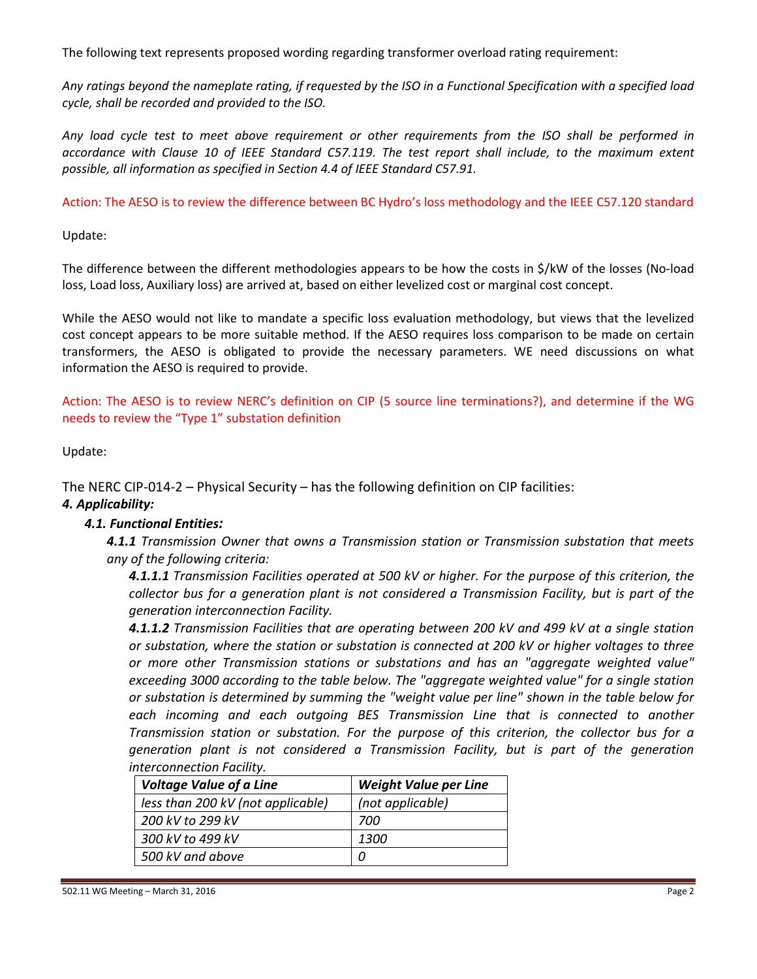The following text represents proposed wording regarding transformer overload rating requirement:

*Any ratings beyond the nameplate rating, if requested by the ISO in a Functional Specification with a specified load cycle, shall be recorded and provided to the ISO.*

*Any load cycle test to meet above requirement or other requirements from the ISO shall be performed in accordance with Clause 10 of IEEE Standard C57.119. The test report shall include, to the maximum extent possible, all information as specified in Section 4.4 of IEEE Standard C57.91.*

Action: The AESO is to review the difference between BC Hydro's loss methodology and the IEEE C57.120 standard

Update:

The difference between the different methodologies appears to be how the costs in \$/kW of the losses (No-load loss, Load loss, Auxiliary loss) are arrived at, based on either levelized cost or marginal cost concept.

While the AESO would not like to mandate a specific loss evaluation methodology, but views that the levelized cost concept appears to be more suitable method. If the AESO requires loss comparison to be made on certain transformers, the AESO is obligated to provide the necessary parameters. WE need discussions on what information the AESO is required to provide.

Action: The AESO is to review NERC's definition on CIP (5 source line terminations?), and determine if the WG needs to review the "Type 1" substation definition

Update:

The NERC CIP-014-2 – Physical Security – has the following definition on CIP facilities:

# *4. Applicability:*

# *4.1. Functional Entities:*

*4.1.1 Transmission Owner that owns a Transmission station or Transmission substation that meets any of the following criteria:* 

*4.1.1.1 Transmission Facilities operated at 500 kV or higher. For the purpose of this criterion, the collector bus for a generation plant is not considered a Transmission Facility, but is part of the generation interconnection Facility.* 

*4.1.1.2 Transmission Facilities that are operating between 200 kV and 499 kV at a single station or substation, where the station or substation is connected at 200 kV or higher voltages to three or more other Transmission stations or substations and has an "aggregate weighted value" exceeding 3000 according to the table below. The "aggregate weighted value" for a single station or substation is determined by summing the "weight value per line" shown in the table below for*  each incoming and each outgoing BES Transmission Line that is connected to another *Transmission station or substation. For the purpose of this criterion, the collector bus for a generation plant is not considered a Transmission Facility, but is part of the generation interconnection Facility.* 

| <b>Voltage Value of a Line</b>    | <b>Weight Value per Line</b> |
|-----------------------------------|------------------------------|
| less than 200 kV (not applicable) | (not applicable)             |
| 200 kV to 299 kV                  | 700                          |
| 300 kV to 499 kV                  | 1300                         |
| 500 kV and above                  |                              |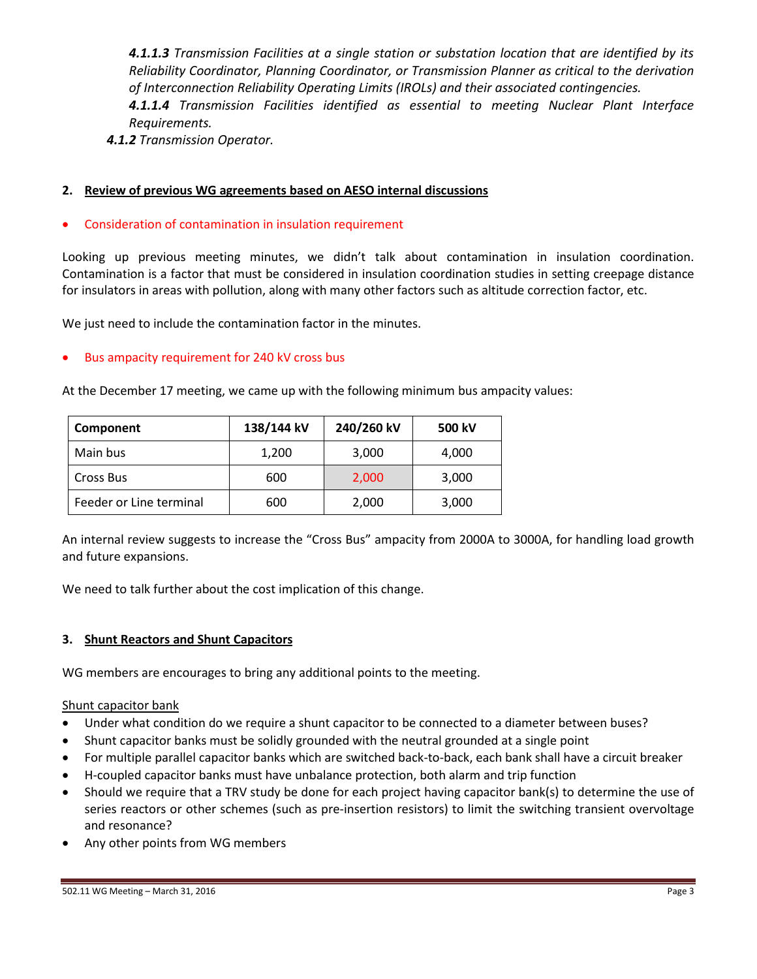*4.1.1.3 Transmission Facilities at a single station or substation location that are identified by its Reliability Coordinator, Planning Coordinator, or Transmission Planner as critical to the derivation of Interconnection Reliability Operating Limits (IROLs) and their associated contingencies. 4.1.1.4 Transmission Facilities identified as essential to meeting Nuclear Plant Interface Requirements.* 

*4.1.2 Transmission Operator.* 

### **2. Review of previous WG agreements based on AESO internal discussions**

### • Consideration of contamination in insulation requirement

Looking up previous meeting minutes, we didn't talk about contamination in insulation coordination. Contamination is a factor that must be considered in insulation coordination studies in setting creepage distance for insulators in areas with pollution, along with many other factors such as altitude correction factor, etc.

We just need to include the contamination factor in the minutes.

### • Bus ampacity requirement for 240 kV cross bus

At the December 17 meeting, we came up with the following minimum bus ampacity values:

| Component               | 138/144 kV | 240/260 kV | 500 kV |
|-------------------------|------------|------------|--------|
| Main bus                | 1,200      | 3,000      | 4,000  |
| Cross Bus               | 600        | 2,000      | 3,000  |
| Feeder or Line terminal | 600        | 2,000      | 3,000  |

An internal review suggests to increase the "Cross Bus" ampacity from 2000A to 3000A, for handling load growth and future expansions.

We need to talk further about the cost implication of this change.

### **3. Shunt Reactors and Shunt Capacitors**

WG members are encourages to bring any additional points to the meeting.

#### Shunt capacitor bank

- Under what condition do we require a shunt capacitor to be connected to a diameter between buses?
- Shunt capacitor banks must be solidly grounded with the neutral grounded at a single point
- For multiple parallel capacitor banks which are switched back-to-back, each bank shall have a circuit breaker
- H-coupled capacitor banks must have unbalance protection, both alarm and trip function
- Should we require that a TRV study be done for each project having capacitor bank(s) to determine the use of series reactors or other schemes (such as pre-insertion resistors) to limit the switching transient overvoltage and resonance?
- Any other points from WG members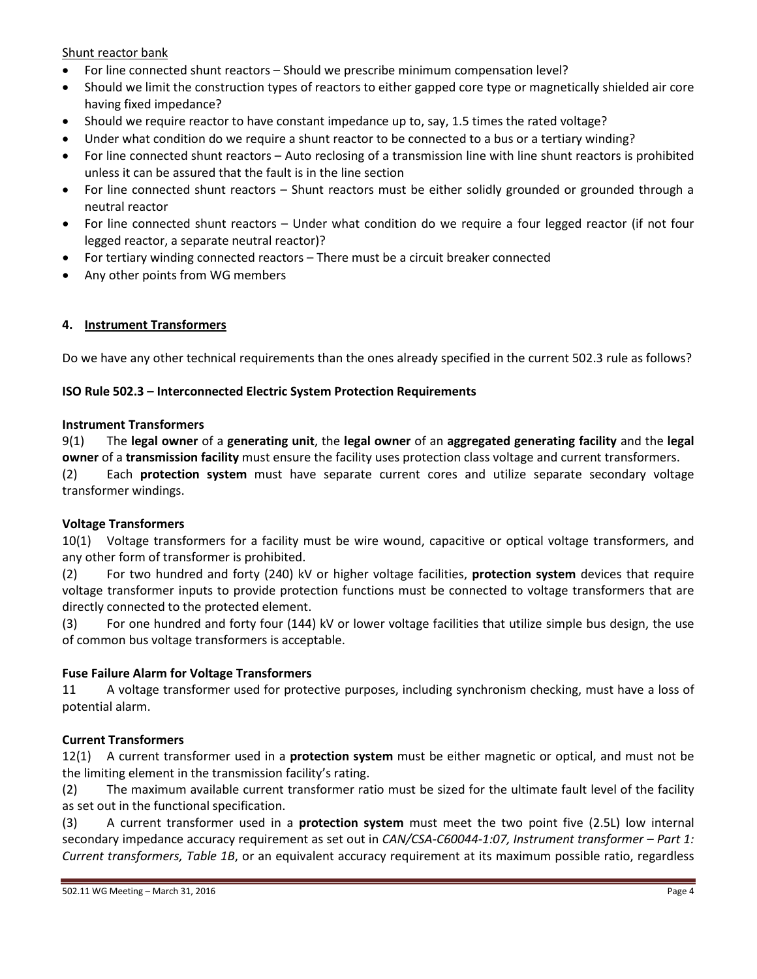Shunt reactor bank

- For line connected shunt reactors Should we prescribe minimum compensation level?
- Should we limit the construction types of reactors to either gapped core type or magnetically shielded air core having fixed impedance?
- Should we require reactor to have constant impedance up to, say, 1.5 times the rated voltage?
- Under what condition do we require a shunt reactor to be connected to a bus or a tertiary winding?
- For line connected shunt reactors Auto reclosing of a transmission line with line shunt reactors is prohibited unless it can be assured that the fault is in the line section
- For line connected shunt reactors Shunt reactors must be either solidly grounded or grounded through a neutral reactor
- For line connected shunt reactors Under what condition do we require a four legged reactor (if not four legged reactor, a separate neutral reactor)?
- For tertiary winding connected reactors There must be a circuit breaker connected
- Any other points from WG members

#### **4. Instrument Transformers**

Do we have any other technical requirements than the ones already specified in the current 502.3 rule as follows?

### **ISO Rule 502.3 – Interconnected Electric System Protection Requirements**

#### **Instrument Transformers**

9(1) The **legal owner** of a **generating unit**, the **legal owner** of an **aggregated generating facility** and the **legal owner** of a **transmission facility** must ensure the facility uses protection class voltage and current transformers.

(2) Each **protection system** must have separate current cores and utilize separate secondary voltage transformer windings.

### **Voltage Transformers**

10(1) Voltage transformers for a facility must be wire wound, capacitive or optical voltage transformers, and any other form of transformer is prohibited.

(2) For two hundred and forty (240) kV or higher voltage facilities, **protection system** devices that require voltage transformer inputs to provide protection functions must be connected to voltage transformers that are directly connected to the protected element.

(3) For one hundred and forty four (144) kV or lower voltage facilities that utilize simple bus design, the use of common bus voltage transformers is acceptable.

### **Fuse Failure Alarm for Voltage Transformers**

11 A voltage transformer used for protective purposes, including synchronism checking, must have a loss of potential alarm.

### **Current Transformers**

12(1) A current transformer used in a **protection system** must be either magnetic or optical, and must not be the limiting element in the transmission facility's rating.

(2) The maximum available current transformer ratio must be sized for the ultimate fault level of the facility as set out in the functional specification.

(3) A current transformer used in a **protection system** must meet the two point five (2.5L) low internal secondary impedance accuracy requirement as set out in *CAN/CSA-C60044-1:07, Instrument transformer – Part 1: Current transformers, Table 1B*, or an equivalent accuracy requirement at its maximum possible ratio, regardless